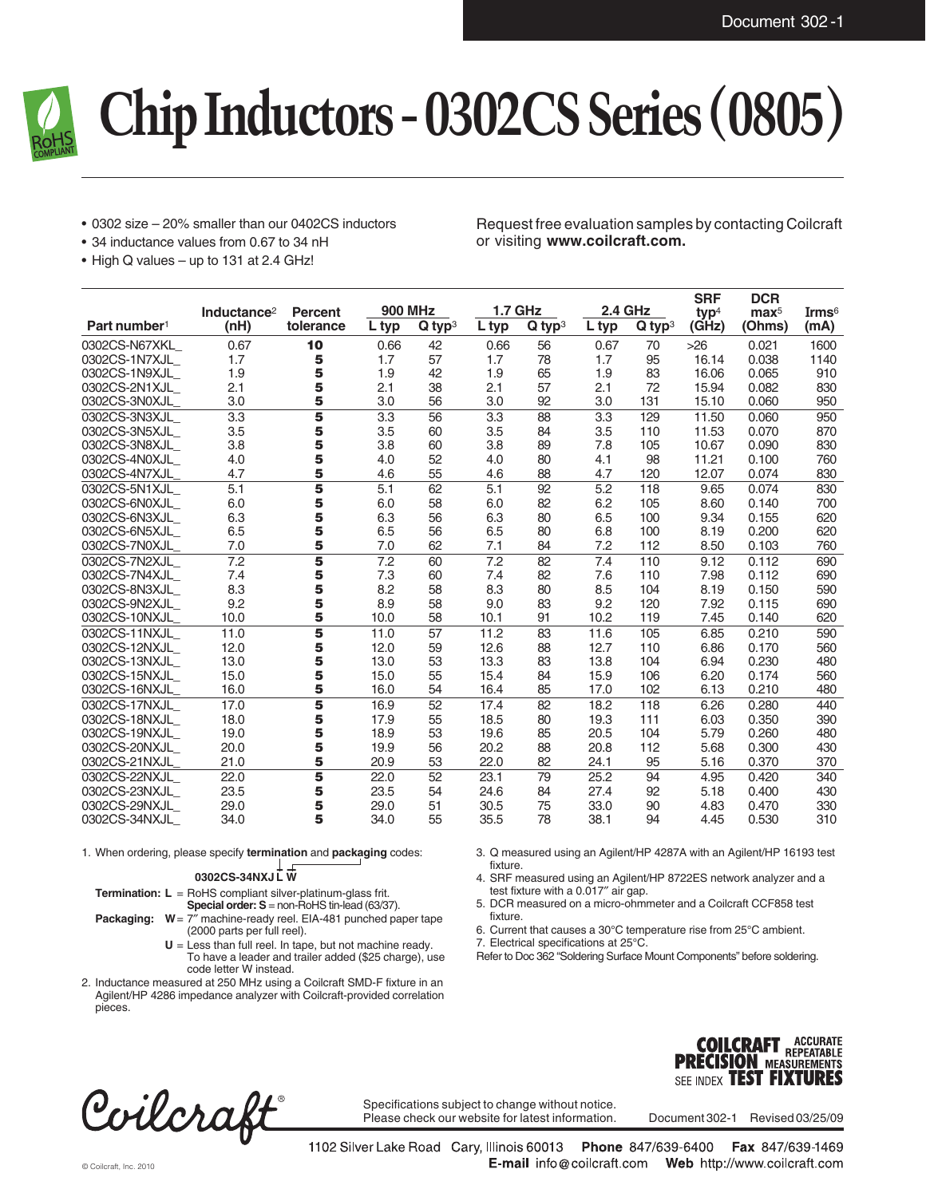

# **Chip Inductors - 0302CS Series (0805)**

- 0302 size 20% smaller than our 0402CS inductors
- 34 inductance values from 0.67 to 34 nH
- High Q values up to 131 at 2.4 GHz!

Request free evaluation samples by contacting Coilcraft or visiting **www.coilcraft.com.**

|                          | Inductance <sup>2</sup> | <b>Percent</b> | <b>900 MHz</b> |                      | <b>1.7 GHz</b> |                      | <b>2.4 GHz</b> |                      | <b>SRF</b><br>typ <sup>4</sup> | <b>DCR</b><br>$\mathbf{max}^5$ | Irms $6$ |
|--------------------------|-------------------------|----------------|----------------|----------------------|----------------|----------------------|----------------|----------------------|--------------------------------|--------------------------------|----------|
| Part number <sup>1</sup> | (nH)                    | tolerance      | L typ          | $Q$ typ <sup>3</sup> | L typ          | $Q$ typ <sup>3</sup> | L typ          | $Q$ typ <sup>3</sup> | (GHz)                          | (Ohms)                         | (mA)     |
| 0302CS-N67XKL            | 0.67                    | 10             | 0.66           | 42                   | 0.66           | 56                   | 0.67           | 70                   | $>26$                          | 0.021                          | 1600     |
| 0302CS-1N7XJL            | 1.7                     | 5              | 1.7            | 57                   | 1.7            | 78                   | 1.7            | 95                   | 16.14                          | 0.038                          | 1140     |
| 0302CS-1N9XJL            | 1.9                     | 5              | 1.9            | 42                   | 1.9            | 65                   | 1.9            | 83                   | 16.06                          | 0.065                          | 910      |
| 0302CS-2N1XJL            | 2.1                     | 5              | 2.1            | 38                   | 2.1            | 57                   | 2.1            | 72                   | 15.94                          | 0.082                          | 830      |
| 0302CS-3N0XJL            | 3.0                     | 5              | 3.0            | 56                   | 3.0            | 92                   | 3.0            | 131                  | 15.10                          | 0.060                          | 950      |
| 0302CS-3N3XJL            | 3.3                     | 5              | 3.3            | 56                   | 3.3            | 88                   | 3.3            | 129                  | 11.50                          | 0.060                          | 950      |
| 0302CS-3N5XJL            | 3.5                     | 5              | 3.5            | 60                   | 3.5            | 84                   | 3.5            | 110                  | 11.53                          | 0.070                          | 870      |
| 0302CS-3N8XJL            | 3.8                     | 5              | 3.8            | 60                   | 3.8            | 89                   | 7.8            | 105                  | 10.67                          | 0.090                          | 830      |
| 0302CS-4N0XJL            | 4.0                     | 5              | 4.0            | 52                   | 4.0            | 80                   | 4.1            | 98                   | 11.21                          | 0.100                          | 760      |
| 0302CS-4N7XJL            | 4.7                     | 5              | 4.6            | 55                   | 4.6            | 88                   | 4.7            | 120                  | 12.07                          | 0.074                          | 830      |
| 0302CS-5N1XJL            | 5.1                     | 5              | 5.1            | 62                   | 5.1            | 92                   | 5.2            | 118                  | 9.65                           | 0.074                          | 830      |
| 0302CS-6N0XJL            | 6.0                     | 5              | 6.0            | 58                   | 6.0            | 82                   | 6.2            | 105                  | 8.60                           | 0.140                          | 700      |
| 0302CS-6N3XJL            | 6.3                     | 5              | 6.3            | 56                   | 6.3            | 80                   | 6.5            | 100                  | 9.34                           | 0.155                          | 620      |
| 0302CS-6N5XJL            | 6.5                     | 5              | 6.5            | 56                   | 6.5            | 80                   | 6.8            | 100                  | 8.19                           | 0.200                          | 620      |
| 0302CS-7N0XJL            | 7.0                     | 5              | 7.0            | 62                   | 7.1            | 84                   | 7.2            | 112                  | 8.50                           | 0.103                          | 760      |
| 0302CS-7N2XJL            | 7.2                     | 5              | 7.2            | 60                   | 7.2            | 82                   | 7.4            | 110                  | 9.12                           | 0.112                          | 690      |
| 0302CS-7N4XJL            | 7.4                     | 5              | 7.3            | 60                   | 7.4            | 82                   | 7.6            | 110                  | 7.98                           | 0.112                          | 690      |
| 0302CS-8N3XJL            | 8.3                     | 5              | 8.2            | 58                   | 8.3            | 80                   | 8.5            | 104                  | 8.19                           | 0.150                          | 590      |
| 0302CS-9N2XJL            | 9.2                     | 5              | 8.9            | 58                   | 9.0            | 83                   | 9.2            | 120                  | 7.92                           | 0.115                          | 690      |
| 0302CS-10NXJL            | 10.0                    | 5              | 10.0           | 58                   | 10.1           | 91                   | 10.2           | 119                  | 7.45                           | 0.140                          | 620      |
| 0302CS-11NXJL            | 11.0                    | 5              | 11.0           | 57                   | 11.2           | 83                   | 11.6           | 105                  | 6.85                           | 0.210                          | 590      |
| 0302CS-12NXJL            | 12.0                    | 5              | 12.0           | 59                   | 12.6           | 88                   | 12.7           | 110                  | 6.86                           | 0.170                          | 560      |
| 0302CS-13NXJL            | 13.0                    | 5              | 13.0           | 53                   | 13.3           | 83                   | 13.8           | 104                  | 6.94                           | 0.230                          | 480      |
| 0302CS-15NXJL            | 15.0                    | 5              | 15.0           | 55                   | 15.4           | 84                   | 15.9           | 106                  | 6.20                           | 0.174                          | 560      |
| 0302CS-16NXJL            | 16.0                    | 5              | 16.0           | 54                   | 16.4           | 85                   | 17.0           | 102                  | 6.13                           | 0.210                          | 480      |
| 0302CS-17NXJL            | 17.0                    | 5              | 16.9           | 52                   | 17.4           | 82                   | 18.2           | 118                  | 6.26                           | 0.280                          | 440      |
| 0302CS-18NXJL            | 18.0                    | 5              | 17.9           | 55                   | 18.5           | 80                   | 19.3           | 111                  | 6.03                           | 0.350                          | 390      |
| 0302CS-19NXJL            | 19.0                    | 5              | 18.9           | 53                   | 19.6           | 85                   | 20.5           | 104                  | 5.79                           | 0.260                          | 480      |
| 0302CS-20NXJL            | 20.0                    | 5              | 19.9           | 56                   | 20.2           | 88                   | 20.8           | 112                  | 5.68                           | 0.300                          | 430      |
| 0302CS-21NXJL            | 21.0                    | 5              | 20.9           | 53                   | 22.0           | 82                   | 24.1           | 95                   | 5.16                           | 0.370                          | 370      |
| 0302CS-22NXJL            | 22.0                    | 5              | 22.0           | 52                   | 23.1           | 79                   | 25.2           | 94                   | 4.95                           | 0.420                          | 340      |
| 0302CS-23NXJL            | 23.5                    | 5              | 23.5           | 54                   | 24.6           | 84                   | 27.4           | 92                   | 5.18                           | 0.400                          | 430      |
| 0302CS-29NXJL            | 29.0                    | 5              | 29.0           | 51                   | 30.5           | 75                   | 33.0           | 90                   | 4.83                           | 0.470                          | 330      |
| 0302CS-34NXJL            | 34.0                    | 5              | 34.0           | 55                   | 35.5           | 78                   | 38.1           | 94                   | 4.45                           | 0.530                          | 310      |

1. When ordering, please specify **termination** and **packaging** codes:

l r **0302CS-34NXJLW**

**Termination: L** = RoHS compliant silver-platinum-glass frit. **Special order: S** = non-RoHS tin-lead (63/37).

**Packaging:**  $W = 7''$  machine-ready reel. EIA-481 punched paper tape (2000 parts per full reel).

- **U** = Less than full reel. In tape, but not machine ready. To have a leader and trailer added (\$25 charge), use code letter W instead.
- 2. Inductance measured at 250 MHz using a Coilcraft SMD-F fixture in an Agilent/HP 4286 impedance analyzer with Coilcraft-provided correlation pieces.

3. Q measured using an Agilent/HP 4287A with an Agilent/HP 16193 test fixture.

4. SRF measured using an Agilent/HP 8722ES network analyzer and a test fixture with a 0.017″ air gap.

5. DCR measured on a micro-ohmmeter and a Coilcraft CCF858 test fixture.

6. Current that causes a 30°C temperature rise from 25°C ambient.

7. Electrical specifications at 25°C.

Refer to Doc 362 "Soldering Surface Mount Components" before soldering.



Specifications subject to change without notice. Please check our website for latest information.

Document 302-1 Revised 03/25/09

**COILCRAFT ACCURATE**<br>**PRECISION MEASUREMENTS** SEE INDEX **TEST FIXTURES** 

**ACCURATE** 

1102 Silver Lake Road Cary, Illinois 60013 Phone 847/639-6400 Fax 847/639-1469